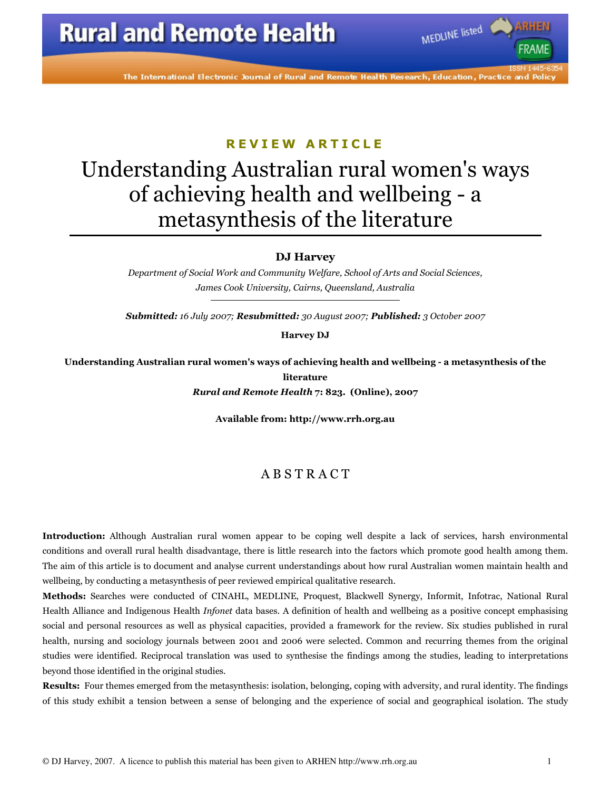The International Electronic Journal of Rural and Remote Health Research, Education, Practice and Policy

### REVIEW ARTICLE

# Understanding Australian rural women's ways of achieving health and wellbeing - a metasynthesis of the literature

DJ Harvey

Department of Social Work and Community Welfare, School of Arts and Social Sciences, James Cook University, Cairns, Queensland, Australia

Submitted: 16 July 2007; Resubmitted: 30 August 2007; Published: 3 October 2007

Harvey DJ

Understanding Australian rural women's ways of achieving health and wellbeing - a metasynthesis of the literature Rural and Remote Health 7: 823. (Online), 2007

Available from: http://www.rrh.org.au

### A B S T R A C T

Introduction: Although Australian rural women appear to be coping well despite a lack of services, harsh environmental conditions and overall rural health disadvantage, there is little research into the factors which promote good health among them. The aim of this article is to document and analyse current understandings about how rural Australian women maintain health and wellbeing, by conducting a metasynthesis of peer reviewed empirical qualitative research.

Methods: Searches were conducted of CINAHL, MEDLINE, Proquest, Blackwell Synergy, Informit, Infotrac, National Rural Health Alliance and Indigenous Health Infonet data bases. A definition of health and wellbeing as a positive concept emphasising social and personal resources as well as physical capacities, provided a framework for the review. Six studies published in rural health, nursing and sociology journals between 2001 and 2006 were selected. Common and recurring themes from the original studies were identified. Reciprocal translation was used to synthesise the findings among the studies, leading to interpretations beyond those identified in the original studies.

Results: Four themes emerged from the metasynthesis: isolation, belonging, coping with adversity, and rural identity. The findings of this study exhibit a tension between a sense of belonging and the experience of social and geographical isolation. The study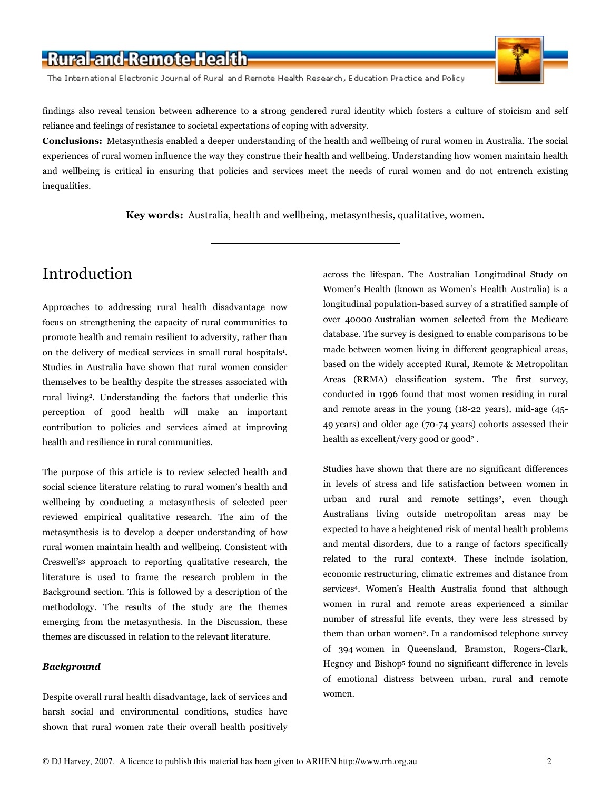The International Electronic Journal of Rural and Remote Health Research, Education Practice and Policy



findings also reveal tension between adherence to a strong gendered rural identity which fosters a culture of stoicism and self reliance and feelings of resistance to societal expectations of coping with adversity.

Conclusions: Metasynthesis enabled a deeper understanding of the health and wellbeing of rural women in Australia. The social experiences of rural women influence the way they construe their health and wellbeing. Understanding how women maintain health and wellbeing is critical in ensuring that policies and services meet the needs of rural women and do not entrench existing inequalities.

Key words: Australia, health and wellbeing, metasynthesis, qualitative, women.

# Introduction

Approaches to addressing rural health disadvantage now focus on strengthening the capacity of rural communities to promote health and remain resilient to adversity, rather than on the delivery of medical services in small rural hospitals<sup>1</sup>. Studies in Australia have shown that rural women consider themselves to be healthy despite the stresses associated with rural living<sup>2</sup>. Understanding the factors that underlie this perception of good health will make an important contribution to policies and services aimed at improving health and resilience in rural communities.

The purpose of this article is to review selected health and social science literature relating to rural women's health and wellbeing by conducting a metasynthesis of selected peer reviewed empirical qualitative research. The aim of the metasynthesis is to develop a deeper understanding of how rural women maintain health and wellbeing. Consistent with Creswell's<sup>3</sup> approach to reporting qualitative research, the literature is used to frame the research problem in the Background section. This is followed by a description of the methodology. The results of the study are the themes emerging from the metasynthesis. In the Discussion, these themes are discussed in relation to the relevant literature.

#### Background

Despite overall rural health disadvantage, lack of services and harsh social and environmental conditions, studies have shown that rural women rate their overall health positively across the lifespan. The Australian Longitudinal Study on Women's Health (known as Women's Health Australia) is a longitudinal population-based survey of a stratified sample of over 40000 Australian women selected from the Medicare database. The survey is designed to enable comparisons to be made between women living in different geographical areas, based on the widely accepted Rural, Remote & Metropolitan Areas (RRMA) classification system. The first survey, conducted in 1996 found that most women residing in rural and remote areas in the young (18-22 years), mid-age (45- 49 years) and older age (70-74 years) cohorts assessed their health as excellent/very good or good<sup>2</sup>.

Studies have shown that there are no significant differences in levels of stress and life satisfaction between women in urban and rural and remote settings<sup>2</sup>, even though Australians living outside metropolitan areas may be expected to have a heightened risk of mental health problems and mental disorders, due to a range of factors specifically related to the rural context<sup>4</sup>. These include isolation, economic restructuring, climatic extremes and distance from services<sup>4</sup>. Women's Health Australia found that although women in rural and remote areas experienced a similar number of stressful life events, they were less stressed by them than urban women<sup>2</sup> . In a randomised telephone survey of 394 women in Queensland, Bramston, Rogers-Clark, Hegney and Bishop<sup>5</sup> found no significant difference in levels of emotional distress between urban, rural and remote women.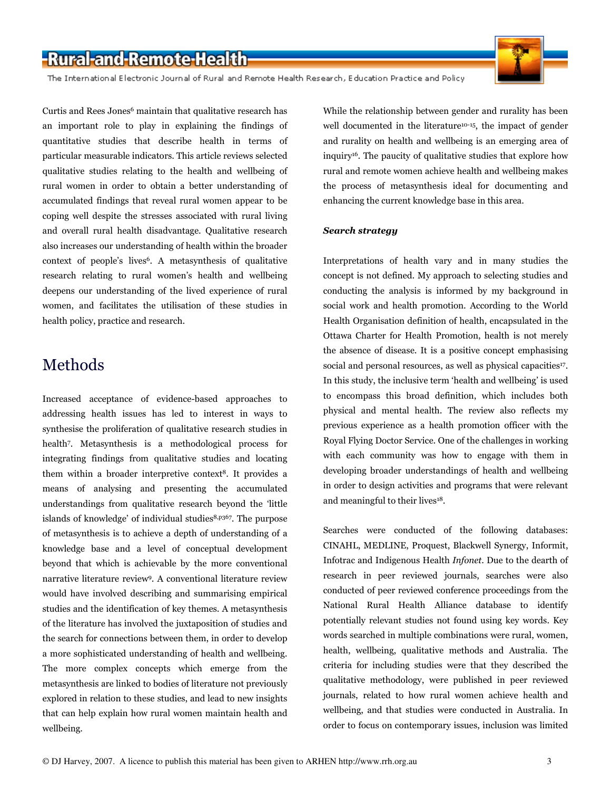The International Electronic Journal of Rural and Remote Health Research, Education Practice and Policy

Curtis and Rees Jones<sup>6</sup> maintain that qualitative research has an important role to play in explaining the findings of quantitative studies that describe health in terms of particular measurable indicators. This article reviews selected qualitative studies relating to the health and wellbeing of rural women in order to obtain a better understanding of accumulated findings that reveal rural women appear to be coping well despite the stresses associated with rural living and overall rural health disadvantage. Qualitative research also increases our understanding of health within the broader context of people's lives<sup>6</sup>. A metasynthesis of qualitative research relating to rural women's health and wellbeing deepens our understanding of the lived experience of rural women, and facilitates the utilisation of these studies in health policy, practice and research.

### Methods

Increased acceptance of evidence-based approaches to addressing health issues has led to interest in ways to synthesise the proliferation of qualitative research studies in health<sup>7</sup> . Metasynthesis is a methodological process for integrating findings from qualitative studies and locating them within a broader interpretive context<sup>8</sup>. It provides a means of analysing and presenting the accumulated understandings from qualitative research beyond the 'little islands of knowledge' of individual studies8,p367. The purpose of metasynthesis is to achieve a depth of understanding of a knowledge base and a level of conceptual development beyond that which is achievable by the more conventional narrative literature review<sup>9</sup>. A conventional literature review would have involved describing and summarising empirical studies and the identification of key themes. A metasynthesis of the literature has involved the juxtaposition of studies and the search for connections between them, in order to develop a more sophisticated understanding of health and wellbeing. The more complex concepts which emerge from the metasynthesis are linked to bodies of literature not previously explored in relation to these studies, and lead to new insights that can help explain how rural women maintain health and wellbeing.

While the relationship between gender and rurality has been well documented in the literature<sup>10-15</sup>, the impact of gender and rurality on health and wellbeing is an emerging area of inquiry<sup>16</sup>. The paucity of qualitative studies that explore how rural and remote women achieve health and wellbeing makes the process of metasynthesis ideal for documenting and enhancing the current knowledge base in this area.

#### Search strategy

Interpretations of health vary and in many studies the concept is not defined. My approach to selecting studies and conducting the analysis is informed by my background in social work and health promotion. According to the World Health Organisation definition of health, encapsulated in the Ottawa Charter for Health Promotion, health is not merely the absence of disease. It is a positive concept emphasising social and personal resources, as well as physical capacities<sup>17</sup>. In this study, the inclusive term 'health and wellbeing' is used to encompass this broad definition, which includes both physical and mental health. The review also reflects my previous experience as a health promotion officer with the Royal Flying Doctor Service. One of the challenges in working with each community was how to engage with them in developing broader understandings of health and wellbeing in order to design activities and programs that were relevant and meaningful to their lives<sup>18</sup>.

Searches were conducted of the following databases: CINAHL, MEDLINE, Proquest, Blackwell Synergy, Informit, Infotrac and Indigenous Health Infonet. Due to the dearth of research in peer reviewed journals, searches were also conducted of peer reviewed conference proceedings from the National Rural Health Alliance database to identify potentially relevant studies not found using key words. Key words searched in multiple combinations were rural, women, health, wellbeing, qualitative methods and Australia. The criteria for including studies were that they described the qualitative methodology, were published in peer reviewed journals, related to how rural women achieve health and wellbeing, and that studies were conducted in Australia. In order to focus on contemporary issues, inclusion was limited

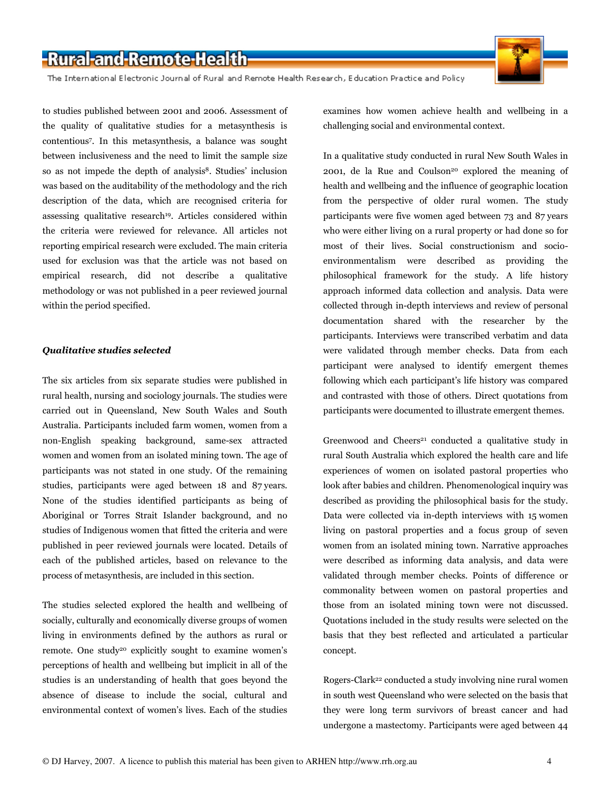The International Electronic Journal of Rural and Remote Health Research, Education Practice and Policy

to studies published between 2001 and 2006. Assessment of the quality of qualitative studies for a metasynthesis is contentious<sup>7</sup> . In this metasynthesis, a balance was sought between inclusiveness and the need to limit the sample size so as not impede the depth of analysis<sup>8</sup>. Studies' inclusion was based on the auditability of the methodology and the rich description of the data, which are recognised criteria for assessing qualitative research<sup>19</sup>. Articles considered within the criteria were reviewed for relevance. All articles not reporting empirical research were excluded. The main criteria used for exclusion was that the article was not based on empirical research, did not describe a qualitative methodology or was not published in a peer reviewed journal within the period specified.

#### Qualitative studies selected

The six articles from six separate studies were published in rural health, nursing and sociology journals. The studies were carried out in Queensland, New South Wales and South Australia. Participants included farm women, women from a non-English speaking background, same-sex attracted women and women from an isolated mining town. The age of participants was not stated in one study. Of the remaining studies, participants were aged between 18 and 87 years. None of the studies identified participants as being of Aboriginal or Torres Strait Islander background, and no studies of Indigenous women that fitted the criteria and were published in peer reviewed journals were located. Details of each of the published articles, based on relevance to the process of metasynthesis, are included in this section.

The studies selected explored the health and wellbeing of socially, culturally and economically diverse groups of women living in environments defined by the authors as rural or remote. One study<sup>20</sup> explicitly sought to examine women's perceptions of health and wellbeing but implicit in all of the studies is an understanding of health that goes beyond the absence of disease to include the social, cultural and environmental context of women's lives. Each of the studies examines how women achieve health and wellbeing in a challenging social and environmental context.

In a qualitative study conducted in rural New South Wales in 2001, de la Rue and Coulson<sup>20</sup> explored the meaning of health and wellbeing and the influence of geographic location from the perspective of older rural women. The study participants were five women aged between 73 and 87 years who were either living on a rural property or had done so for most of their lives. Social constructionism and socioenvironmentalism were described as providing the philosophical framework for the study. A life history approach informed data collection and analysis. Data were collected through in-depth interviews and review of personal documentation shared with the researcher by the participants. Interviews were transcribed verbatim and data were validated through member checks. Data from each participant were analysed to identify emergent themes following which each participant's life history was compared and contrasted with those of others. Direct quotations from participants were documented to illustrate emergent themes.

Greenwood and Cheers $21$  conducted a qualitative study in rural South Australia which explored the health care and life experiences of women on isolated pastoral properties who look after babies and children. Phenomenological inquiry was described as providing the philosophical basis for the study. Data were collected via in-depth interviews with 15 women living on pastoral properties and a focus group of seven women from an isolated mining town. Narrative approaches were described as informing data analysis, and data were validated through member checks. Points of difference or commonality between women on pastoral properties and those from an isolated mining town were not discussed. Quotations included in the study results were selected on the basis that they best reflected and articulated a particular concept.

Rogers-Clark<sup>22</sup> conducted a study involving nine rural women in south west Queensland who were selected on the basis that they were long term survivors of breast cancer and had undergone a mastectomy. Participants were aged between 44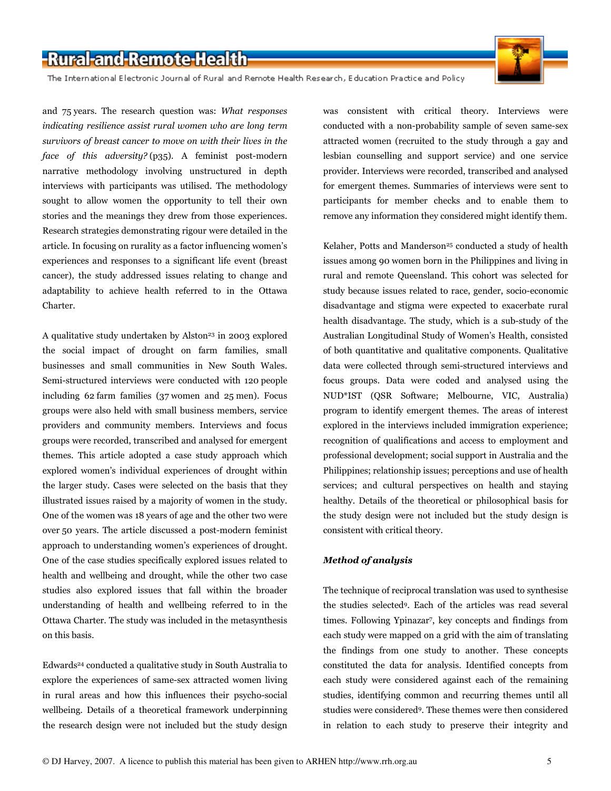The International Electronic Journal of Rural and Remote Health Research, Education Practice and Policy



and 75 years. The research question was: What responses indicating resilience assist rural women who are long term survivors of breast cancer to move on with their lives in the face of this adversity? (p35). A feminist post-modern narrative methodology involving unstructured in depth interviews with participants was utilised. The methodology sought to allow women the opportunity to tell their own stories and the meanings they drew from those experiences. Research strategies demonstrating rigour were detailed in the article. In focusing on rurality as a factor influencing women's experiences and responses to a significant life event (breast cancer), the study addressed issues relating to change and adaptability to achieve health referred to in the Ottawa Charter.

A qualitative study undertaken by Alston<sup>23</sup> in 2003 explored the social impact of drought on farm families, small businesses and small communities in New South Wales. Semi-structured interviews were conducted with 120 people including 62 farm families (37 women and 25 men). Focus groups were also held with small business members, service providers and community members. Interviews and focus groups were recorded, transcribed and analysed for emergent themes. This article adopted a case study approach which explored women's individual experiences of drought within the larger study. Cases were selected on the basis that they illustrated issues raised by a majority of women in the study. One of the women was 18 years of age and the other two were over 50 years. The article discussed a post-modern feminist approach to understanding women's experiences of drought. One of the case studies specifically explored issues related to health and wellbeing and drought, while the other two case studies also explored issues that fall within the broader understanding of health and wellbeing referred to in the Ottawa Charter. The study was included in the metasynthesis on this basis.

Edwards<sup>24</sup> conducted a qualitative study in South Australia to explore the experiences of same-sex attracted women living in rural areas and how this influences their psycho-social wellbeing. Details of a theoretical framework underpinning the research design were not included but the study design was consistent with critical theory. Interviews were conducted with a non-probability sample of seven same-sex attracted women (recruited to the study through a gay and lesbian counselling and support service) and one service provider. Interviews were recorded, transcribed and analysed for emergent themes. Summaries of interviews were sent to participants for member checks and to enable them to remove any information they considered might identify them.

Kelaher, Potts and Manderson<sup>25</sup> conducted a study of health issues among 90 women born in the Philippines and living in rural and remote Queensland. This cohort was selected for study because issues related to race, gender, socio-economic disadvantage and stigma were expected to exacerbate rural health disadvantage. The study, which is a sub-study of the Australian Longitudinal Study of Women's Health, consisted of both quantitative and qualitative components. Qualitative data were collected through semi-structured interviews and focus groups. Data were coded and analysed using the NUD\*IST (QSR Software; Melbourne, VIC, Australia) program to identify emergent themes. The areas of interest explored in the interviews included immigration experience; recognition of qualifications and access to employment and professional development; social support in Australia and the Philippines; relationship issues; perceptions and use of health services; and cultural perspectives on health and staying healthy. Details of the theoretical or philosophical basis for the study design were not included but the study design is consistent with critical theory.

#### Method of analysis

The technique of reciprocal translation was used to synthesise the studies selected<sup>9</sup>. Each of the articles was read several times. Following Ypinazar<sup>7</sup> , key concepts and findings from each study were mapped on a grid with the aim of translating the findings from one study to another. These concepts constituted the data for analysis. Identified concepts from each study were considered against each of the remaining studies, identifying common and recurring themes until all studies were considered<sup>9</sup>. These themes were then considered in relation to each study to preserve their integrity and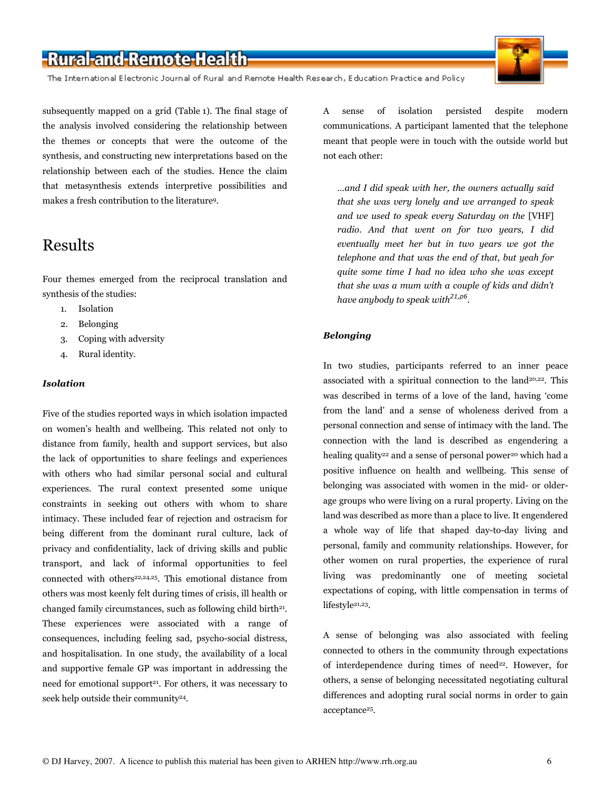The International Electronic Journal of Rural and Remote Health Research, Education Practice and Policy

subsequently mapped on a grid (Table 1). The final stage of the analysis involved considering the relationship between the themes or concepts that were the outcome of the synthesis, and constructing new interpretations based on the relationship between each of the studies. Hence the claim that metasynthesis extends interpretive possibilities and makes a fresh contribution to the literature<sup>9</sup>.

### Results

Four themes emerged from the reciprocal translation and synthesis of the studies:

- 1. Isolation
- 2. Belonging
- 3. Coping with adversity
- 4. Rural identity.

#### Isolation

Five of the studies reported ways in which isolation impacted on women's health and wellbeing. This related not only to distance from family, health and support services, but also the lack of opportunities to share feelings and experiences with others who had similar personal social and cultural experiences. The rural context presented some unique constraints in seeking out others with whom to share intimacy. These included fear of rejection and ostracism for being different from the dominant rural culture, lack of privacy and confidentiality, lack of driving skills and public transport, and lack of informal opportunities to feel connected with others<sup>22,24,25</sup>. This emotional distance from others was most keenly felt during times of crisis, ill health or changed family circumstances, such as following child birth<sup>21</sup>. These experiences were associated with a range of consequences, including feeling sad, psycho-social distress, and hospitalisation. In one study, the availability of a local and supportive female GP was important in addressing the need for emotional support<sup>21</sup>. For others, it was necessary to seek help outside their community<sup>24</sup>.

A sense of isolation persisted despite modern communications. A participant lamented that the telephone meant that people were in touch with the outside world but not each other:

…and I did speak with her, the owners actually said that she was very lonely and we arranged to speak and we used to speak every Saturday on the [VHF] radio. And that went on for two years, I did eventually meet her but in two years we got the telephone and that was the end of that, but yeah for quite some time I had no idea who she was except that she was a mum with a couple of kids and didn't have anybody to speak with $^{21,p6}$ .

#### Belonging

In two studies, participants referred to an inner peace associated with a spiritual connection to the land<sup>20,22</sup>. This was described in terms of a love of the land, having 'come from the land' and a sense of wholeness derived from a personal connection and sense of intimacy with the land. The connection with the land is described as engendering a healing quality<sup>22</sup> and a sense of personal power<sup>20</sup> which had a positive influence on health and wellbeing. This sense of belonging was associated with women in the mid- or olderage groups who were living on a rural property. Living on the land was described as more than a place to live. It engendered a whole way of life that shaped day-to-day living and personal, family and community relationships. However, for other women on rural properties, the experience of rural living was predominantly one of meeting societal expectations of coping, with little compensation in terms of lifestyle<sup>21,23</sup>.

A sense of belonging was also associated with feeling connected to others in the community through expectations of interdependence during times of need $22$ . However, for others, a sense of belonging necessitated negotiating cultural differences and adopting rural social norms in order to gain acceptance<sup>25</sup>.

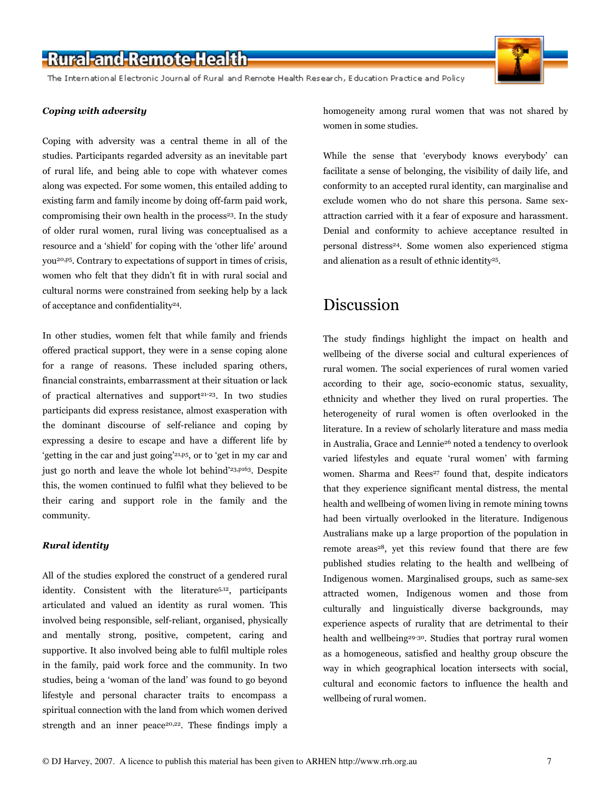The International Electronic Journal of Rural and Remote Health Research, Education Practice and Policy

#### Coping with adversity

Coping with adversity was a central theme in all of the studies. Participants regarded adversity as an inevitable part of rural life, and being able to cope with whatever comes along was expected. For some women, this entailed adding to existing farm and family income by doing off-farm paid work, compromising their own health in the process<sup>23</sup>. In the study of older rural women, rural living was conceptualised as a resource and a 'shield' for coping with the 'other life' around you20,p5. Contrary to expectations of support in times of crisis, women who felt that they didn't fit in with rural social and cultural norms were constrained from seeking help by a lack of acceptance and confidentiality<sup>24</sup>.

In other studies, women felt that while family and friends offered practical support, they were in a sense coping alone for a range of reasons. These included sparing others, financial constraints, embarrassment at their situation or lack of practical alternatives and support<sup>21-23</sup>. In two studies participants did express resistance, almost exasperation with the dominant discourse of self-reliance and coping by expressing a desire to escape and have a different life by 'getting in the car and just going'21,p5, or to 'get in my car and just go north and leave the whole lot behind'<sup>23,p163</sup>. Despite this, the women continued to fulfil what they believed to be their caring and support role in the family and the community.

#### Rural identity

All of the studies explored the construct of a gendered rural identity. Consistent with the literature5,12, participants articulated and valued an identity as rural women. This involved being responsible, self-reliant, organised, physically and mentally strong, positive, competent, caring and supportive. It also involved being able to fulfil multiple roles in the family, paid work force and the community. In two studies, being a 'woman of the land' was found to go beyond lifestyle and personal character traits to encompass a spiritual connection with the land from which women derived strength and an inner peace<sup>20,22</sup>. These findings imply a homogeneity among rural women that was not shared by women in some studies.

While the sense that 'everybody knows everybody' can facilitate a sense of belonging, the visibility of daily life, and conformity to an accepted rural identity, can marginalise and exclude women who do not share this persona. Same sexattraction carried with it a fear of exposure and harassment. Denial and conformity to achieve acceptance resulted in personal distress<sup>24</sup>. Some women also experienced stigma and alienation as a result of ethnic identity<sup>25</sup>.

### Discussion

The study findings highlight the impact on health and wellbeing of the diverse social and cultural experiences of rural women. The social experiences of rural women varied according to their age, socio-economic status, sexuality, ethnicity and whether they lived on rural properties. The heterogeneity of rural women is often overlooked in the literature. In a review of scholarly literature and mass media in Australia, Grace and Lennie<sup>26</sup> noted a tendency to overlook varied lifestyles and equate 'rural women' with farming women. Sharma and Rees<sup>27</sup> found that, despite indicators that they experience significant mental distress, the mental health and wellbeing of women living in remote mining towns had been virtually overlooked in the literature. Indigenous Australians make up a large proportion of the population in remote areas<sup>28</sup>, yet this review found that there are few published studies relating to the health and wellbeing of Indigenous women. Marginalised groups, such as same-sex attracted women, Indigenous women and those from culturally and linguistically diverse backgrounds, may experience aspects of rurality that are detrimental to their health and wellbeing<sup>29-30</sup>. Studies that portray rural women as a homogeneous, satisfied and healthy group obscure the way in which geographical location intersects with social, cultural and economic factors to influence the health and wellbeing of rural women.

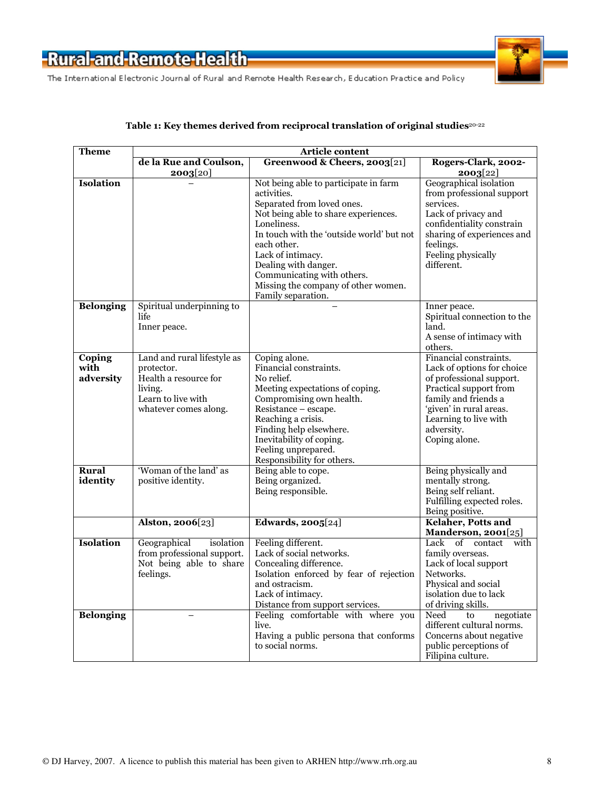



#### Table 1: Key themes derived from reciprocal translation of original studies<sup>20-22</sup>

| <b>Theme</b>                | Article content                                                                                                              |                                                                                                                                                                                                                                                                                                                                               |                                                                                                                                                                                                                       |  |  |
|-----------------------------|------------------------------------------------------------------------------------------------------------------------------|-----------------------------------------------------------------------------------------------------------------------------------------------------------------------------------------------------------------------------------------------------------------------------------------------------------------------------------------------|-----------------------------------------------------------------------------------------------------------------------------------------------------------------------------------------------------------------------|--|--|
|                             | de la Rue and Coulson,                                                                                                       | Greenwood & Cheers, 2003[21]                                                                                                                                                                                                                                                                                                                  | Rogers-Clark, 2002-                                                                                                                                                                                                   |  |  |
|                             | 2003[20]                                                                                                                     |                                                                                                                                                                                                                                                                                                                                               | 2003[22]                                                                                                                                                                                                              |  |  |
| <b>Isolation</b>            |                                                                                                                              | Not being able to participate in farm<br>activities.<br>Separated from loved ones.<br>Not being able to share experiences.<br>Loneliness.<br>In touch with the 'outside world' but not<br>each other.<br>Lack of intimacy.<br>Dealing with danger.<br>Communicating with others.<br>Missing the company of other women.<br>Family separation. | Geographical isolation<br>from professional support<br>services.<br>Lack of privacy and<br>confidentiality constrain<br>sharing of experiences and<br>feelings.<br>Feeling physically<br>different.                   |  |  |
| <b>Belonging</b>            | Spiritual underpinning to<br>life.<br>Inner peace.                                                                           |                                                                                                                                                                                                                                                                                                                                               | Inner peace.<br>Spiritual connection to the<br>land.<br>A sense of intimacy with<br>others.                                                                                                                           |  |  |
| Coping<br>with<br>adversity | Land and rural lifestyle as<br>protector.<br>Health a resource for<br>living.<br>Learn to live with<br>whatever comes along. | Coping alone.<br>Financial constraints.<br>No relief.<br>Meeting expectations of coping.<br>Compromising own health.<br>Resistance - escape.<br>Reaching a crisis.<br>Finding help elsewhere.<br>Inevitability of coping.<br>Feeling unprepared.<br>Responsibility for others.                                                                | Financial constraints.<br>Lack of options for choice<br>of professional support.<br>Practical support from<br>family and friends a<br>'given' in rural areas.<br>Learning to live with<br>adversity.<br>Coping alone. |  |  |
| <b>Rural</b><br>identity    | 'Woman of the land' as<br>positive identity.<br>Alston, 2006[23]                                                             | Being able to cope.<br>Being organized.<br>Being responsible.<br><b>Edwards</b> , 2005[24]                                                                                                                                                                                                                                                    | Being physically and<br>mentally strong.<br>Being self reliant.<br>Fulfilling expected roles.<br>Being positive.<br><b>Kelaher, Potts and</b>                                                                         |  |  |
|                             |                                                                                                                              |                                                                                                                                                                                                                                                                                                                                               | Manderson, 2001[25]                                                                                                                                                                                                   |  |  |
| Isolation                   | Geographical<br>isolation<br>from professional support.<br>Not being able to share<br>feelings.                              | Feeling different.<br>Lack of social networks.<br>Concealing difference.<br>Isolation enforced by fear of rejection<br>and ostracism.<br>Lack of intimacy.<br>Distance from support services.                                                                                                                                                 | Lack<br>of contact<br>with<br>family overseas.<br>Lack of local support<br>Networks.<br>Physical and social<br>isolation due to lack<br>of driving skills.                                                            |  |  |
| <b>Belonging</b>            |                                                                                                                              | Feeling comfortable with where you<br>live.<br>Having a public persona that conforms<br>to social norms.                                                                                                                                                                                                                                      | Need<br>to<br>negotiate<br>different cultural norms.<br>Concerns about negative<br>public perceptions of<br>Filipina culture.                                                                                         |  |  |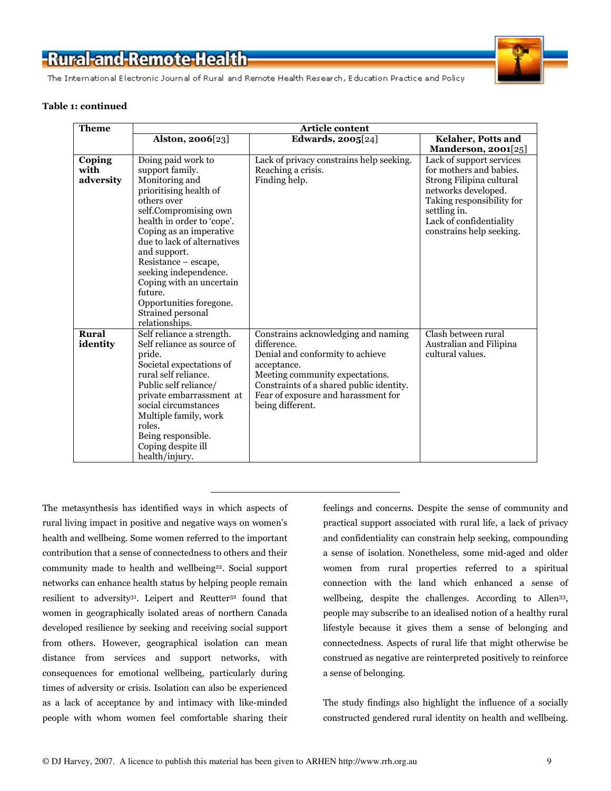

The International Electronic Journal of Rural and Remote Health Research, Education Practice and Policy

#### Table 1: continued

| <b>Theme</b> | Article content                          |                                          |                                                 |  |
|--------------|------------------------------------------|------------------------------------------|-------------------------------------------------|--|
|              | Alston, $2006[23]$                       | Edwards, $2005[24]$                      | Kelaher, Potts and                              |  |
|              |                                          |                                          | Manderson, 2001[25]                             |  |
| Coping       | Doing paid work to                       | Lack of privacy constrains help seeking. | Lack of support services                        |  |
| with         | support family.                          | Reaching a crisis.                       | for mothers and babies.                         |  |
| adversity    | Monitoring and<br>prioritising health of | Finding help.                            | Strong Filipina cultural<br>networks developed. |  |
|              | others over                              |                                          | Taking responsibility for                       |  |
|              | self.Compromising own                    |                                          | settling in.                                    |  |
|              | health in order to 'cope'.               |                                          | Lack of confidentiality                         |  |
|              | Coping as an imperative                  |                                          | constrains help seeking.                        |  |
|              | due to lack of alternatives              |                                          |                                                 |  |
|              | and support.                             |                                          |                                                 |  |
|              | Resistance – escape,                     |                                          |                                                 |  |
|              | seeking independence.                    |                                          |                                                 |  |
|              | Coping with an uncertain                 |                                          |                                                 |  |
|              | future.                                  |                                          |                                                 |  |
|              | Opportunities foregone.                  |                                          |                                                 |  |
|              | Strained personal                        |                                          |                                                 |  |
|              | relationships.                           |                                          |                                                 |  |
| Rural        | Self reliance a strength.                | Constrains acknowledging and naming      | Clash between rural                             |  |
| identity     | Self reliance as source of               | difference.                              | Australian and Filipina                         |  |
|              | pride.                                   | Denial and conformity to achieve         | cultural values.                                |  |
|              | Societal expectations of                 | acceptance.                              |                                                 |  |
|              | rural self reliance.                     | Meeting community expectations.          |                                                 |  |
|              | Public self reliance/                    | Constraints of a shared public identity. |                                                 |  |
|              | private embarrassment at                 | Fear of exposure and harassment for      |                                                 |  |
|              | social circumstances                     | being different.                         |                                                 |  |
|              | Multiple family, work<br>roles.          |                                          |                                                 |  |
|              |                                          |                                          |                                                 |  |
|              | Being responsible.<br>Coping despite ill |                                          |                                                 |  |
|              | health/injury.                           |                                          |                                                 |  |
|              |                                          |                                          |                                                 |  |

The metasynthesis has identified ways in which aspects of rural living impact in positive and negative ways on women's health and wellbeing. Some women referred to the important contribution that a sense of connectedness to others and their community made to health and wellbeing<sup>22</sup>. Social support networks can enhance health status by helping people remain resilient to adversity<sup>31</sup>. Leipert and Reutter<sup>32</sup> found that women in geographically isolated areas of northern Canada developed resilience by seeking and receiving social support from others. However, geographical isolation can mean distance from services and support networks, with consequences for emotional wellbeing, particularly during times of adversity or crisis. Isolation can also be experienced as a lack of acceptance by and intimacy with like-minded people with whom women feel comfortable sharing their

feelings and concerns. Despite the sense of community and practical support associated with rural life, a lack of privacy and confidentiality can constrain help seeking, compounding a sense of isolation. Nonetheless, some mid-aged and older women from rural properties referred to a spiritual connection with the land which enhanced a sense of wellbeing, despite the challenges. According to Allen<sup>33</sup>, people may subscribe to an idealised notion of a healthy rural lifestyle because it gives them a sense of belonging and connectedness. Aspects of rural life that might otherwise be construed as negative are reinterpreted positively to reinforce a sense of belonging.

The study findings also highlight the influence of a socially constructed gendered rural identity on health and wellbeing.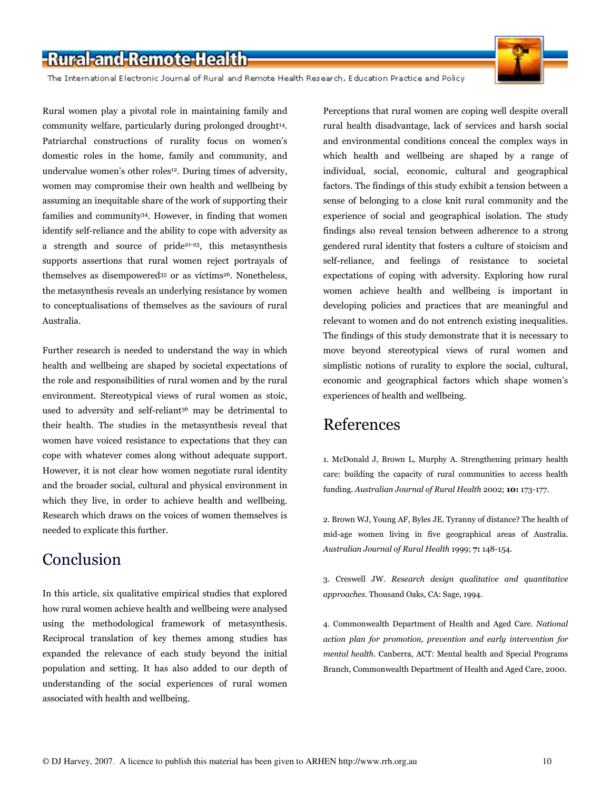The International Electronic Journal of Rural and Remote Health Research, Education Practice and Policy

Rural women play a pivotal role in maintaining family and community welfare, particularly during prolonged drought<sup>14</sup>. Patriarchal constructions of rurality focus on women's domestic roles in the home, family and community, and undervalue women's other roles<sup>12</sup>. During times of adversity, women may compromise their own health and wellbeing by assuming an inequitable share of the work of supporting their families and community<sup>34</sup>. However, in finding that women identify self-reliance and the ability to cope with adversity as a strength and source of pride21-23, this metasynthesis supports assertions that rural women reject portrayals of themselves as disempowered<sup>35</sup> or as victims<sup>26</sup>. Nonetheless, the metasynthesis reveals an underlying resistance by women to conceptualisations of themselves as the saviours of rural Australia.

Further research is needed to understand the way in which health and wellbeing are shaped by societal expectations of the role and responsibilities of rural women and by the rural environment. Stereotypical views of rural women as stoic, used to adversity and self-reliant<sup>36</sup> may be detrimental to their health. The studies in the metasynthesis reveal that women have voiced resistance to expectations that they can cope with whatever comes along without adequate support. However, it is not clear how women negotiate rural identity and the broader social, cultural and physical environment in which they live, in order to achieve health and wellbeing. Research which draws on the voices of women themselves is needed to explicate this further.

### Conclusion

In this article, six qualitative empirical studies that explored how rural women achieve health and wellbeing were analysed using the methodological framework of metasynthesis. Reciprocal translation of key themes among studies has expanded the relevance of each study beyond the initial population and setting. It has also added to our depth of understanding of the social experiences of rural women associated with health and wellbeing.

Perceptions that rural women are coping well despite overall rural health disadvantage, lack of services and harsh social and environmental conditions conceal the complex ways in which health and wellbeing are shaped by a range of individual, social, economic, cultural and geographical factors. The findings of this study exhibit a tension between a sense of belonging to a close knit rural community and the experience of social and geographical isolation. The study findings also reveal tension between adherence to a strong gendered rural identity that fosters a culture of stoicism and self-reliance, and feelings of resistance to societal expectations of coping with adversity. Exploring how rural women achieve health and wellbeing is important in developing policies and practices that are meaningful and relevant to women and do not entrench existing inequalities. The findings of this study demonstrate that it is necessary to move beyond stereotypical views of rural women and simplistic notions of rurality to explore the social, cultural, economic and geographical factors which shape women's experiences of health and wellbeing.

### References

1. McDonald J, Brown L, Murphy A. Strengthening primary health care: building the capacity of rural communities to access health funding. Australian Journal of Rural Health 2002; 10: 173-177.

2. Brown WJ, Young AF, Byles JE. Tyranny of distance? The health of mid-age women living in five geographical areas of Australia. Australian Journal of Rural Health 1999; 7: 148-154.

3. Creswell JW. Research design qualitative and quantitative approaches. Thousand Oaks, CA: Sage, 1994.

4. Commonwealth Department of Health and Aged Care. National action plan for promotion, prevention and early intervention for mental health. Canberra, ACT: Mental health and Special Programs Branch, Commonwealth Department of Health and Aged Care, 2000.

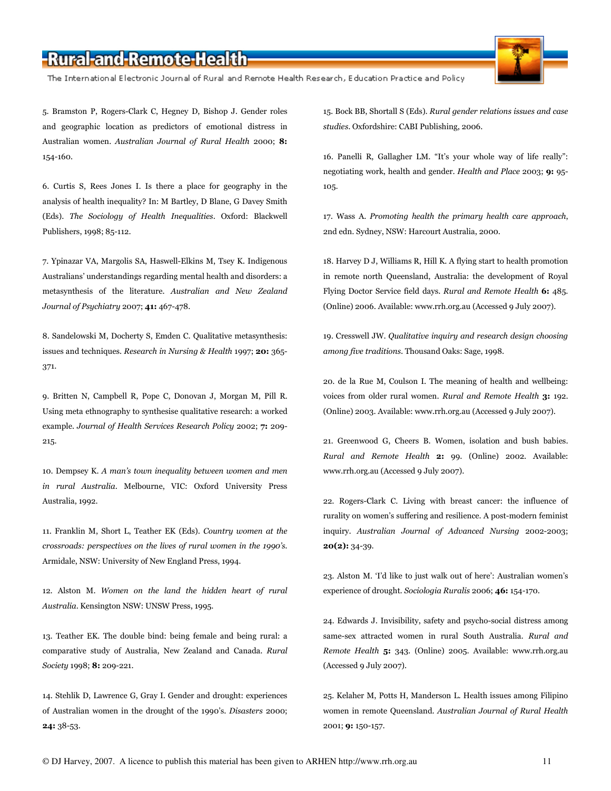The International Electronic Journal of Rural and Remote Health Research, Education Practice and Policy

5. Bramston P, Rogers-Clark C, Hegney D, Bishop J. Gender roles and geographic location as predictors of emotional distress in Australian women. Australian Journal of Rural Health 2000; 8: 154-160.

6. Curtis S, Rees Jones I. Is there a place for geography in the analysis of health inequality? In: M Bartley, D Blane, G Davey Smith (Eds). The Sociology of Health Inequalities. Oxford: Blackwell Publishers, 1998; 85-112.

7. Ypinazar VA, Margolis SA, Haswell-Elkins M, Tsey K. Indigenous Australians' understandings regarding mental health and disorders: a metasynthesis of the literature. Australian and New Zealand Journal of Psychiatry 2007; 41: 467-478.

8. Sandelowski M, Docherty S, Emden C. Qualitative metasynthesis: issues and techniques. Research in Nursing & Health 1997; 20: 365-371.

9. Britten N, Campbell R, Pope C, Donovan J, Morgan M, Pill R. Using meta ethnography to synthesise qualitative research: a worked example. Journal of Health Services Research Policy 2002; 7: 209- 215.

10. Dempsey K. A man's town inequality between women and men in rural Australia. Melbourne, VIC: Oxford University Press Australia, 1992.

11. Franklin M, Short L, Teather EK (Eds). Country women at the crossroads: perspectives on the lives of rural women in the 1990's. Armidale, NSW: University of New England Press, 1994.

12. Alston M. Women on the land the hidden heart of rural Australia. Kensington NSW: UNSW Press, 1995.

13. Teather EK. The double bind: being female and being rural: a comparative study of Australia, New Zealand and Canada. Rural Society 1998; 8: 209-221.

14. Stehlik D, Lawrence G, Gray I. Gender and drought: experiences of Australian women in the drought of the 1990's. Disasters 2000; 24: 38-53.

15. Bock BB, Shortall S (Eds). Rural gender relations issues and case studies. Oxfordshire: CABI Publishing, 2006.

16. Panelli R, Gallagher LM. "It's your whole way of life really": negotiating work, health and gender. Health and Place 2003; 9: 95-105.

17. Wass A. Promoting health the primary health care approach, 2nd edn. Sydney, NSW: Harcourt Australia, 2000.

18. Harvey D J, Williams R, Hill K. A flying start to health promotion in remote north Queensland, Australia: the development of Royal Flying Doctor Service field days. Rural and Remote Health 6: 485. (Online) 2006. Available: www.rrh.org.au (Accessed 9 July 2007).

19. Cresswell JW. Qualitative inquiry and research design choosing among five traditions. Thousand Oaks: Sage, 1998.

20. de la Rue M, Coulson I. The meaning of health and wellbeing: voices from older rural women. Rural and Remote Health 3: 192. (Online) 2003. Available: www.rrh.org.au (Accessed 9 July 2007).

21. Greenwood G, Cheers B. Women, isolation and bush babies. Rural and Remote Health 2: 99. (Online) 2002. Available: www.rrh.org.au (Accessed 9 July 2007).

22. Rogers-Clark C. Living with breast cancer: the influence of rurality on women's suffering and resilience. A post-modern feminist inquiry. Australian Journal of Advanced Nursing 2002-2003;  $20(2): 34-39.$ 

23. Alston M. 'I'd like to just walk out of here': Australian women's experience of drought. Sociologia Ruralis 2006; 46: 154-170.

24. Edwards J. Invisibility, safety and psycho-social distress among same-sex attracted women in rural South Australia. Rural and Remote Health 5: 343. (Online) 2005. Available: www.rrh.org.au (Accessed 9 July 2007).

25. Kelaher M, Potts H, Manderson L. Health issues among Filipino women in remote Queensland. Australian Journal of Rural Health 2001; 9: 150-157.